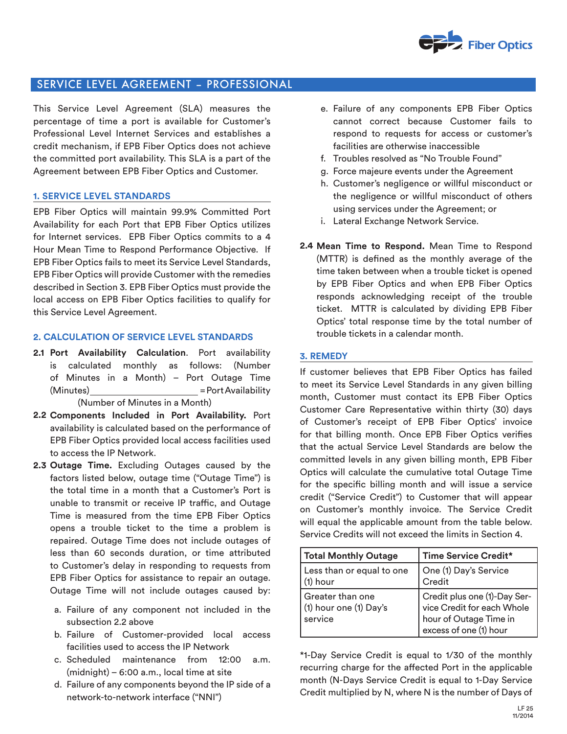

# SERVICE LEVEL AGREEMENT – PROFESSIONAL

This Service Level Agreement (SLA) measures the percentage of time a port is available for Customer's Professional Level Internet Services and establishes a credit mechanism, if EPB Fiber Optics does not achieve the committed port availability. This SLA is a part of the Agreement between EPB Fiber Optics and Customer.

## **1. SERVICE LEVEL STANDARDS**

EPB Fiber Optics will maintain 99.9% Committed Port Availability for each Port that EPB Fiber Optics utilizes for Internet services. EPB Fiber Optics commits to a 4 Hour Mean Time to Respond Performance Objective. If EPB Fiber Optics fails to meet its Service Level Standards, EPB Fiber Optics will provide Customer with the remedies described in Section 3. EPB Fiber Optics must provide the local access on EPB Fiber Optics facilities to qualify for this Service Level Agreement.

## **2. CALCULATION OF SERVICE LEVEL STANDARDS**

- **Port Availability Calculation**. Port availability **2.1** is calculated monthly as follows: (Number of Minutes in a Month) – Port Outage Time (Minutes) = Port Availability (Number of Minutes in a Month)
- **Components Included in Port Availability.** Port **2.2** availability is calculated based on the performance of EPB Fiber Optics provided local access facilities used to access the IP Network.
- **Outage Time.** Excluding Outages caused by the **2.3** factors listed below, outage time ("Outage Time") is the total time in a month that a Customer's Port is unable to transmit or receive IP traffic, and Outage Time is measured from the time EPB Fiber Optics opens a trouble ticket to the time a problem is repaired. Outage Time does not include outages of less than 60 seconds duration, or time attributed to Customer's delay in responding to requests from EPB Fiber Optics for assistance to repair an outage. Outage Time will not include outages caused by:
	- a. Failure of any component not included in the subsection 2.2 above
	- b. Failure of Customer-provided local access facilities used to access the IP Network
	- c. Scheduled maintenance from 12:00 a.m. (midnight) – 6:00 a.m., local time at site
	- d. Failure of any components beyond the IP side of a network-to-network interface ("NNI")
- e. Failure of any components EPB Fiber Optics cannot correct because Customer fails to respond to requests for access or customer's facilities are otherwise inaccessible
- f. Troubles resolved as "No Trouble Found"
- g. Force majeure events under the Agreement
- h. Customer's negligence or willful misconduct or the negligence or willful misconduct of others using services under the Agreement; or
- i. Lateral Exchange Network Service.
- **Mean Time to Respond.** Mean Time to Respond **2.4** (MTTR) is defined as the monthly average of the time taken between when a trouble ticket is opened by EPB Fiber Optics and when EPB Fiber Optics responds acknowledging receipt of the trouble ticket. MTTR is calculated by dividing EPB Fiber Optics' total response time by the total number of trouble tickets in a calendar month.

#### **3. REMEDY**

If customer believes that EPB Fiber Optics has failed to meet its Service Level Standards in any given billing month, Customer must contact its EPB Fiber Optics Customer Care Representative within thirty (30) days of Customer's receipt of EPB Fiber Optics' invoice for that billing month. Once EPB Fiber Optics verifies that the actual Service Level Standards are below the committed levels in any given billing month, EPB Fiber Optics will calculate the cumulative total Outage Time for the specific billing month and will issue a service credit ("Service Credit") to Customer that will appear on Customer's monthly invoice. The Service Credit will equal the applicable amount from the table below. Service Credits will not exceed the limits in Section 4.

| <b>Total Monthly Outage</b>                             | Time Service Credit*                                                                                           |
|---------------------------------------------------------|----------------------------------------------------------------------------------------------------------------|
| Less than or equal to one<br>$(1)$ hour                 | One (1) Day's Service<br>Credit                                                                                |
| l Greater than one<br>(1) hour one (1) Day's<br>service | Credit plus one (1)-Day Ser-<br>vice Credit for each Whole<br>hour of Outage Time in<br>excess of one (1) hour |

\*1-Day Service Credit is equal to 1/30 of the monthly recurring charge for the affected Port in the applicable month (N-Days Service Credit is equal to 1-Day Service Credit multiplied by N, where N is the number of Days of